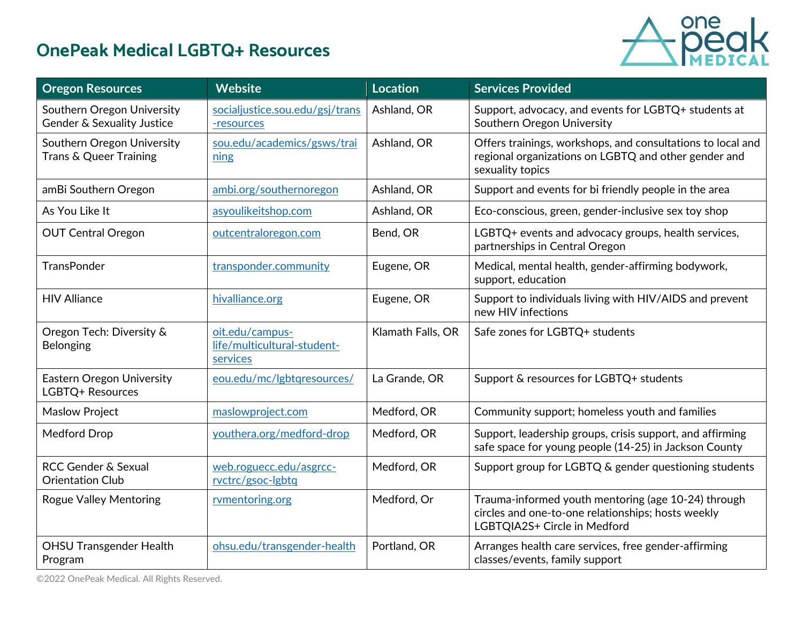

| <b>Oregon Resources</b>                                         | <b>Website</b>                                             | <b>Location</b>   | <b>Services Provided</b>                                                                                                                  |  |
|-----------------------------------------------------------------|------------------------------------------------------------|-------------------|-------------------------------------------------------------------------------------------------------------------------------------------|--|
| Southern Oregon University<br>Gender & Sexuality Justice        | socialjustice.sou.edu/gsj/trans<br>-resources              | Ashland, OR       | Support, advocacy, and events for LGBTQ+ students at<br>Southern Oregon University                                                        |  |
| Southern Oregon University<br><b>Trans &amp; Queer Training</b> | sou.edu/academics/gsws/trai<br>ning                        | Ashland, OR       | Offers trainings, workshops, and consultations to local and<br>regional organizations on LGBTQ and other gender and<br>sexuality topics   |  |
| amBi Southern Oregon                                            | ambi.org/southernoregon                                    | Ashland, OR       | Support and events for bi friendly people in the area                                                                                     |  |
| As You Like It                                                  | asyoulikeitshop.com                                        | Ashland, OR       | Eco-conscious, green, gender-inclusive sex toy shop                                                                                       |  |
| <b>OUT Central Oregon</b>                                       | outcentraloregon.com                                       | Bend, OR          | LGBTQ+ events and advocacy groups, health services,<br>partnerships in Central Oregon                                                     |  |
| <b>TransPonder</b>                                              | transponder.community                                      | Eugene, OR        | Medical, mental health, gender-affirming bodywork,<br>support, education                                                                  |  |
| <b>HIV Alliance</b>                                             | hivalliance.org                                            | Eugene, OR        | Support to individuals living with HIV/AIDS and prevent<br>new HIV infections                                                             |  |
| Oregon Tech: Diversity &<br>Belonging                           | oit.edu/campus-<br>life/multicultural-student-<br>services | Klamath Falls, OR | Safe zones for LGBTQ+ students                                                                                                            |  |
| <b>Eastern Oregon University</b><br>LGBTQ+ Resources            | eou.edu/mc/lgbtqresources/                                 | La Grande, OR     | Support & resources for LGBTQ+ students                                                                                                   |  |
| <b>Maslow Project</b>                                           | maslowproject.com                                          | Medford, OR       | Community support; homeless youth and families                                                                                            |  |
| Medford Drop                                                    | youthera.org/medford-drop                                  | Medford, OR       | Support, leadership groups, crisis support, and affirming<br>safe space for young people (14-25) in Jackson County                        |  |
| RCC Gender & Sexual<br><b>Orientation Club</b>                  | web.roguecc.edu/asgrcc-<br>rvctrc/gsoc-lgbtq               | Medford, OR       | Support group for LGBTQ & gender questioning students                                                                                     |  |
| <b>Rogue Valley Mentoring</b>                                   | rvmentoring.org                                            | Medford, Or       | Trauma-informed youth mentoring (age 10-24) through<br>circles and one-to-one relationships; hosts weekly<br>LGBTQIA2S+ Circle in Medford |  |
| <b>OHSU Transgender Health</b><br>Program                       | ohsu.edu/transgender-health                                | Portland, OR      | Arranges health care services, free gender-affirming<br>classes/events, family support                                                    |  |

©2022 OnePeak Medical. All Rights Reserved.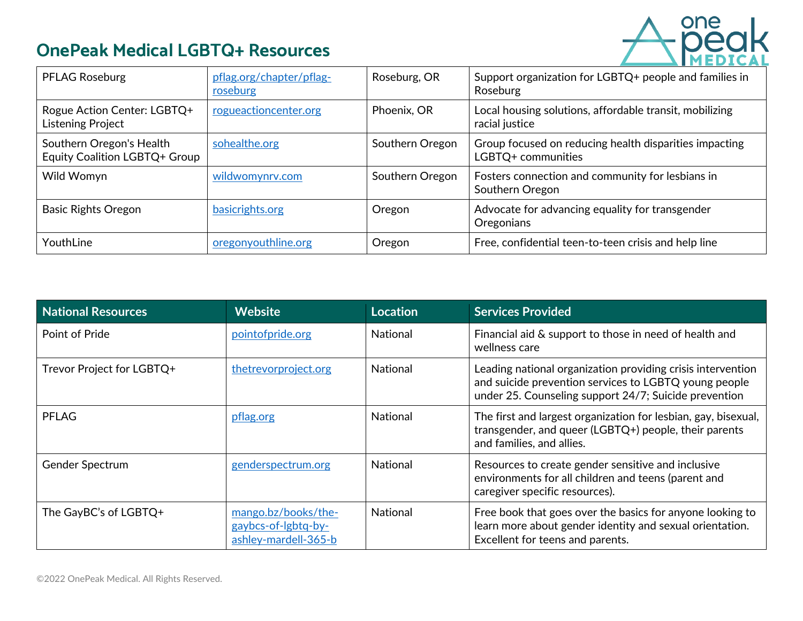

| <b>PFLAG Roseburg</b>                                     | pflag.org/chapter/pflag-<br>roseburg | Roseburg, OR    | Support organization for LGBTQ+ people and families in<br>Roseburg           |  |
|-----------------------------------------------------------|--------------------------------------|-----------------|------------------------------------------------------------------------------|--|
| Rogue Action Center: LGBTQ+<br>Listening Project          | rogueactioncenter.org                | Phoenix, OR     | Local housing solutions, affordable transit, mobilizing<br>racial justice    |  |
| Southern Oregon's Health<br>Equity Coalition LGBTQ+ Group | sohealthe.org                        | Southern Oregon | Group focused on reducing health disparities impacting<br>LGBTQ+ communities |  |
| Wild Womyn                                                | wildwomynry.com                      | Southern Oregon | Fosters connection and community for lesbians in<br>Southern Oregon          |  |
| <b>Basic Rights Oregon</b>                                | basicrights.org                      | Oregon          | Advocate for advancing equality for transgender<br>Oregonians                |  |
| YouthLine                                                 | oregonyouthline.org                  | Oregon          | Free, confidential teen-to-teen crisis and help line                         |  |

| <b>National Resources</b> | <b>Website</b>                                                     | <b>Location</b> | <b>Services Provided</b>                                                                                                                                                      |  |
|---------------------------|--------------------------------------------------------------------|-----------------|-------------------------------------------------------------------------------------------------------------------------------------------------------------------------------|--|
| Point of Pride            | pointofpride.org                                                   | <b>National</b> | Financial aid & support to those in need of health and<br>wellness care                                                                                                       |  |
| Trevor Project for LGBTQ+ | thetrevorproject.org                                               | <b>National</b> | Leading national organization providing crisis intervention<br>and suicide prevention services to LGBTQ young people<br>under 25. Counseling support 24/7; Suicide prevention |  |
| <b>PFLAG</b>              | pflag.org                                                          | <b>National</b> | The first and largest organization for lesbian, gay, bisexual,<br>transgender, and queer (LGBTQ+) people, their parents<br>and families, and allies.                          |  |
| <b>Gender Spectrum</b>    | genderspectrum.org                                                 | <b>National</b> | Resources to create gender sensitive and inclusive<br>environments for all children and teens (parent and<br>caregiver specific resources).                                   |  |
| The GayBC's of LGBTQ+     | mango.bz/books/the-<br>gaybcs-of-lgbtq-by-<br>ashley-mardell-365-b | <b>National</b> | Free book that goes over the basics for anyone looking to<br>learn more about gender identity and sexual orientation.<br>Excellent for teens and parents.                     |  |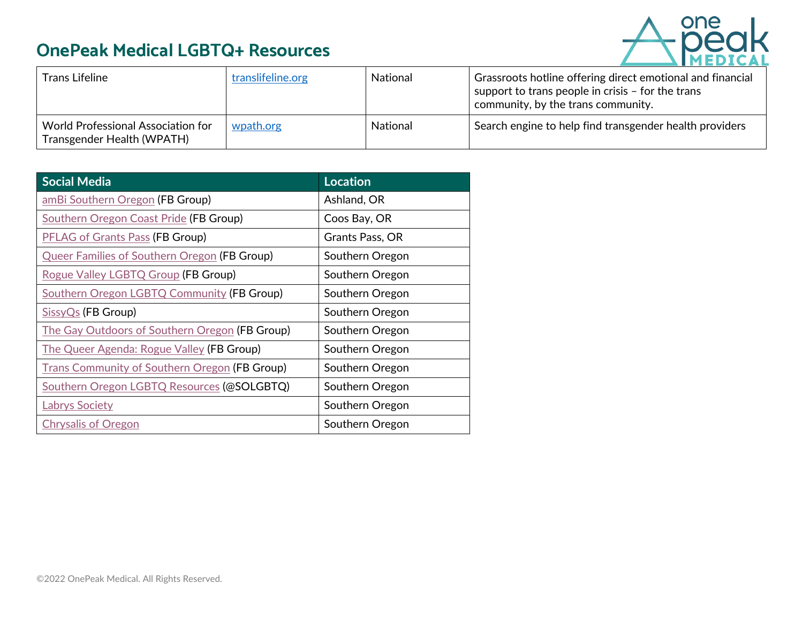

| Trans Lifeline                                                          | translifeline.org | <b>National</b> | Grassroots hotline offering direct emotional and financial<br>support to trans people in crisis $-$ for the trans<br>community, by the trans community. |
|-------------------------------------------------------------------------|-------------------|-----------------|---------------------------------------------------------------------------------------------------------------------------------------------------------|
| <b>World Professional Association for</b><br>Transgender Health (WPATH) | wpath.org         | <b>National</b> | Search engine to help find transgender health providers                                                                                                 |

| <b>Social Media</b>                                  | <b>Location</b> |
|------------------------------------------------------|-----------------|
| amBi Southern Oregon (FB Group)                      | Ashland, OR     |
| <b>Southern Oregon Coast Pride (FB Group)</b>        | Coos Bay, OR    |
| <b>PFLAG of Grants Pass (FB Group)</b>               | Grants Pass, OR |
| <b>Queer Families of Southern Oregon (FB Group)</b>  | Southern Oregon |
| Rogue Valley LGBTQ Group (FB Group)                  | Southern Oregon |
| Southern Oregon LGBTQ Community (FB Group)           | Southern Oregon |
| SissyQs (FB Group)                                   | Southern Oregon |
| The Gay Outdoors of Southern Oregon (FB Group)       | Southern Oregon |
| The Queer Agenda: Rogue Valley (FB Group)            | Southern Oregon |
| <b>Trans Community of Southern Oregon (FB Group)</b> | Southern Oregon |
| Southern Oregon LGBTQ Resources (@SOLGBTQ)           | Southern Oregon |
| <b>Labrys Society</b>                                | Southern Oregon |
| <b>Chrysalis of Oregon</b>                           | Southern Oregon |